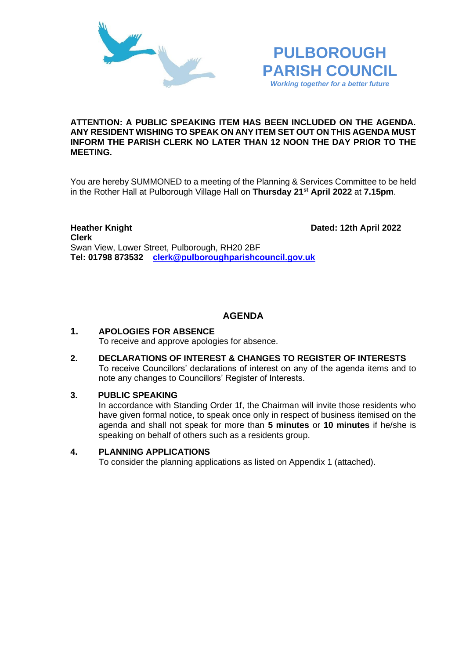



#### **ATTENTION: A PUBLIC SPEAKING ITEM HAS BEEN INCLUDED ON THE AGENDA. ANY RESIDENT WISHING TO SPEAK ON ANY ITEM SET OUT ON THIS AGENDA MUST INFORM THE PARISH CLERK NO LATER THAN 12 NOON THE DAY PRIOR TO THE MEETING.**

You are hereby SUMMONED to a meeting of the Planning & Services Committee to be held in the Rother Hall at Pulborough Village Hall on **Thursday 21st April 2022** at **7.15pm**.

**Heather Knight Dated: 12th April 2022 Clerk**  Swan View, Lower Street, Pulborough, RH20 2BF **Tel: 01798 873532 [clerk@pulboroughparishcouncil.gov.uk](mailto:clerk@pulboroughparishcouncil.gov.uk)**

# **AGENDA**

#### **1. APOLOGIES FOR ABSENCE** To receive and approve apologies for absence.

**2. DECLARATIONS OF INTEREST & CHANGES TO REGISTER OF INTERESTS** To receive Councillors' declarations of interest on any of the agenda items and to note any changes to Councillors' Register of Interests.

## **3. PUBLIC SPEAKING**

In accordance with Standing Order 1f, the Chairman will invite those residents who have given formal notice, to speak once only in respect of business itemised on the agenda and shall not speak for more than **5 minutes** or **10 minutes** if he/she is speaking on behalf of others such as a residents group.

## **4. PLANNING APPLICATIONS**

To consider the planning applications as listed on Appendix 1 (attached).